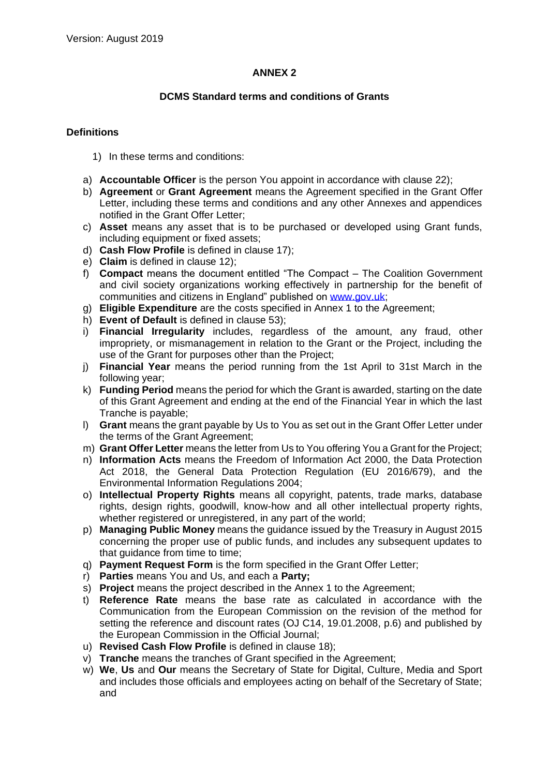# **ANNEX 2**

# **DCMS Standard terms and conditions of Grants**

# **Definitions**

- 1) In these terms and conditions:
- a) **Accountable Officer** is the person You appoint in accordance with clause 22);
- b) **Agreement** or **Grant Agreement** means the Agreement specified in the Grant Offer Letter, including these terms and conditions and any other Annexes and appendices notified in the Grant Offer Letter;
- c) **Asset** means any asset that is to be purchased or developed using Grant funds, including equipment or fixed assets;
- d) **Cash Flow Profile** is defined in clause 17);
- e) **Claim** is defined in clause 12);
- f) **Compact** means the document entitled "The Compact The Coalition Government and civil society organizations working effectively in partnership for the benefit of communities and citizens in England" published on [www.gov.uk;](http://www.gov.uk/)
- g) **Eligible Expenditure** are the costs specified in Annex 1 to the Agreement;
- h) **Event of Default** is defined in clause 53);
- i) **Financial Irregularity** includes, regardless of the amount, any fraud, other impropriety, or mismanagement in relation to the Grant or the Project, including the use of the Grant for purposes other than the Project;
- j) **Financial Year** means the period running from the 1st April to 31st March in the following year;
- k) **Funding Period** means the period for which the Grant is awarded, starting on the date of this Grant Agreement and ending at the end of the Financial Year in which the last Tranche is payable;
- l) **Grant** means the grant payable by Us to You as set out in the Grant Offer Letter under the terms of the Grant Agreement;
- m) **Grant Offer Letter** means the letter from Us to You offering You a Grant for the Project;
- n) **Information Acts** means the Freedom of Information Act 2000, the Data Protection Act 2018, the General Data Protection Regulation (EU 2016/679), and the Environmental Information Regulations 2004;
- o) **Intellectual Property Rights** means all copyright, patents, trade marks, database rights, design rights, goodwill, know-how and all other intellectual property rights, whether registered or unregistered, in any part of the world;
- p) **Managing Public Money** means the guidance issued by the Treasury in August 2015 concerning the proper use of public funds, and includes any subsequent updates to that quidance from time to time:
- q) **Payment Request Form** is the form specified in the Grant Offer Letter;
- r) **Parties** means You and Us, and each a **Party;**
- s) **Project** means the project described in the Annex 1 to the Agreement;
- t) **Reference Rate** means the base rate as calculated in accordance with the Communication from the European Commission on the revision of the method for setting the reference and discount rates (OJ C14, 19.01.2008, p.6) and published by the European Commission in the Official Journal;
- u) **Revised Cash Flow Profile** is defined in clause 18);
- v) **Tranche** means the tranches of Grant specified in the Agreement;
- w) **We**, **Us** and **Our** means the Secretary of State for Digital, Culture, Media and Sport and includes those officials and employees acting on behalf of the Secretary of State; and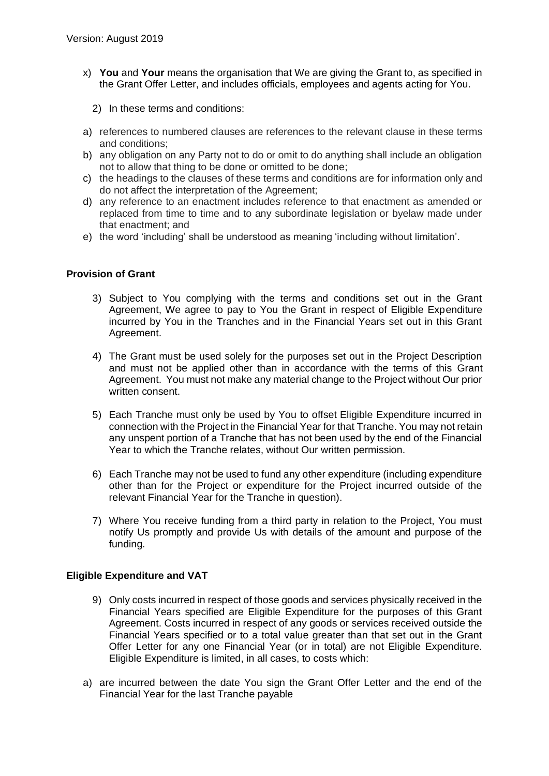- x) **You** and **Your** means the organisation that We are giving the Grant to, as specified in the Grant Offer Letter, and includes officials, employees and agents acting for You.
	- 2) In these terms and conditions:
- a) references to numbered clauses are references to the relevant clause in these terms and conditions;
- b) any obligation on any Party not to do or omit to do anything shall include an obligation not to allow that thing to be done or omitted to be done;
- c) the headings to the clauses of these terms and conditions are for information only and do not affect the interpretation of the Agreement;
- d) any reference to an enactment includes reference to that enactment as amended or replaced from time to time and to any subordinate legislation or byelaw made under that enactment; and
- e) the word 'including' shall be understood as meaning 'including without limitation'.

# **Provision of Grant**

- 3) Subject to You complying with the terms and conditions set out in the Grant Agreement, We agree to pay to You the Grant in respect of Eligible Expenditure incurred by You in the Tranches and in the Financial Years set out in this Grant Agreement.
- 4) The Grant must be used solely for the purposes set out in the Project Description and must not be applied other than in accordance with the terms of this Grant Agreement. You must not make any material change to the Project without Our prior written consent.
- 5) Each Tranche must only be used by You to offset Eligible Expenditure incurred in connection with the Project in the Financial Year for that Tranche. You may not retain any unspent portion of a Tranche that has not been used by the end of the Financial Year to which the Tranche relates, without Our written permission.
- 6) Each Tranche may not be used to fund any other expenditure (including expenditure other than for the Project or expenditure for the Project incurred outside of the relevant Financial Year for the Tranche in question).
- 7) Where You receive funding from a third party in relation to the Project, You must notify Us promptly and provide Us with details of the amount and purpose of the funding.

# **Eligible Expenditure and VAT**

- 9) Only costs incurred in respect of those goods and services physically received in the Financial Years specified are Eligible Expenditure for the purposes of this Grant Agreement. Costs incurred in respect of any goods or services received outside the Financial Years specified or to a total value greater than that set out in the Grant Offer Letter for any one Financial Year (or in total) are not Eligible Expenditure. Eligible Expenditure is limited, in all cases, to costs which:
- a) are incurred between the date You sign the Grant Offer Letter and the end of the Financial Year for the last Tranche payable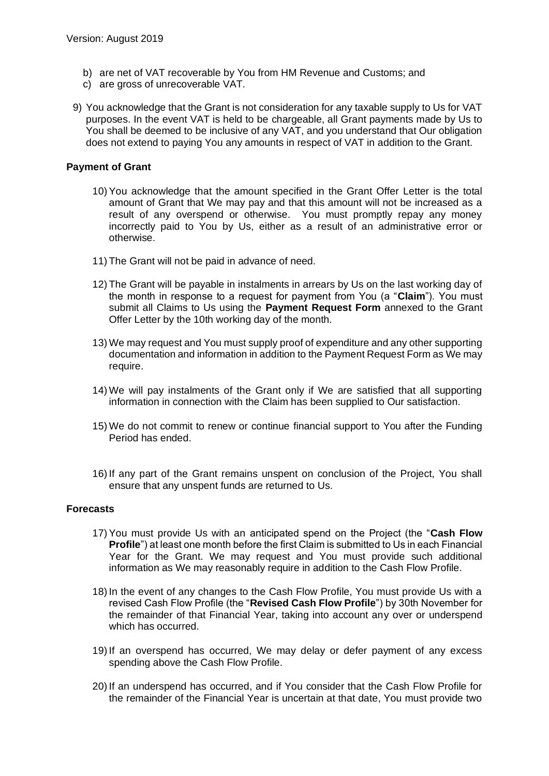- b) are net of VAT recoverable by You from HM Revenue and Customs; and
- c) are gross of unrecoverable VAT.
- 9) You acknowledge that the Grant is not consideration for any taxable supply to Us for VAT purposes. In the event VAT is held to be chargeable, all Grant payments made by Us to You shall be deemed to be inclusive of any VAT, and you understand that Our obligation does not extend to paying You any amounts in respect of VAT in addition to the Grant.

### **Payment of Grant**

- 10) You acknowledge that the amount specified in the Grant Offer Letter is the total amount of Grant that We may pay and that this amount will not be increased as a result of any overspend or otherwise. You must promptly repay any money incorrectly paid to You by Us, either as a result of an administrative error or otherwise.
- 11) The Grant will not be paid in advance of need.
- 12) The Grant will be payable in instalments in arrears by Us on the last working day of the month in response to a request for payment from You (a "**Claim**"). You must submit all Claims to Us using the **Payment Request Form** annexed to the Grant Offer Letter by the 10th working day of the month.
- 13) We may request and You must supply proof of expenditure and any other supporting documentation and information in addition to the Payment Request Form as We may require.
- 14) We will pay instalments of the Grant only if We are satisfied that all supporting information in connection with the Claim has been supplied to Our satisfaction.
- 15) We do not commit to renew or continue financial support to You after the Funding Period has ended.
- 16) If any part of the Grant remains unspent on conclusion of the Project, You shall ensure that any unspent funds are returned to Us.

# **Forecasts**

- 17) You must provide Us with an anticipated spend on the Project (the "**Cash Flow Profile**") at least one month before the first Claim is submitted to Us in each Financial Year for the Grant. We may request and You must provide such additional information as We may reasonably require in addition to the Cash Flow Profile.
- 18) In the event of any changes to the Cash Flow Profile, You must provide Us with a revised Cash Flow Profile (the "**Revised Cash Flow Profile**") by 30th November for the remainder of that Financial Year, taking into account any over or underspend which has occurred.
- 19) If an overspend has occurred, We may delay or defer payment of any excess spending above the Cash Flow Profile.
- 20) If an underspend has occurred, and if You consider that the Cash Flow Profile for the remainder of the Financial Year is uncertain at that date, You must provide two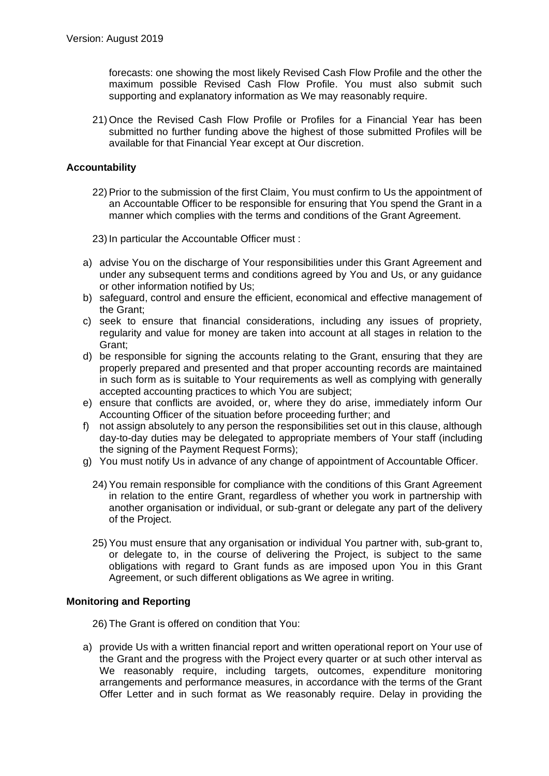forecasts: one showing the most likely Revised Cash Flow Profile and the other the maximum possible Revised Cash Flow Profile. You must also submit such supporting and explanatory information as We may reasonably require.

21) Once the Revised Cash Flow Profile or Profiles for a Financial Year has been submitted no further funding above the highest of those submitted Profiles will be available for that Financial Year except at Our discretion.

# **Accountability**

- 22) Prior to the submission of the first Claim, You must confirm to Us the appointment of an Accountable Officer to be responsible for ensuring that You spend the Grant in a manner which complies with the terms and conditions of the Grant Agreement.
- 23) In particular the Accountable Officer must :
- a) advise You on the discharge of Your responsibilities under this Grant Agreement and under any subsequent terms and conditions agreed by You and Us, or any guidance or other information notified by Us;
- b) safeguard, control and ensure the efficient, economical and effective management of the Grant;
- c) seek to ensure that financial considerations, including any issues of propriety, regularity and value for money are taken into account at all stages in relation to the Grant;
- d) be responsible for signing the accounts relating to the Grant, ensuring that they are properly prepared and presented and that proper accounting records are maintained in such form as is suitable to Your requirements as well as complying with generally accepted accounting practices to which You are subject;
- e) ensure that conflicts are avoided, or, where they do arise, immediately inform Our Accounting Officer of the situation before proceeding further; and
- f) not assign absolutely to any person the responsibilities set out in this clause, although day-to-day duties may be delegated to appropriate members of Your staff (including the signing of the Payment Request Forms):
- g) You must notify Us in advance of any change of appointment of Accountable Officer.
	- 24) You remain responsible for compliance with the conditions of this Grant Agreement in relation to the entire Grant, regardless of whether you work in partnership with another organisation or individual, or sub-grant or delegate any part of the delivery of the Project.
	- 25) You must ensure that any organisation or individual You partner with, sub-grant to, or delegate to, in the course of delivering the Project, is subject to the same obligations with regard to Grant funds as are imposed upon You in this Grant Agreement, or such different obligations as We agree in writing.

# **Monitoring and Reporting**

26) The Grant is offered on condition that You:

a) provide Us with a written financial report and written operational report on Your use of the Grant and the progress with the Project every quarter or at such other interval as We reasonably require, including targets, outcomes, expenditure monitoring arrangements and performance measures, in accordance with the terms of the Grant Offer Letter and in such format as We reasonably require. Delay in providing the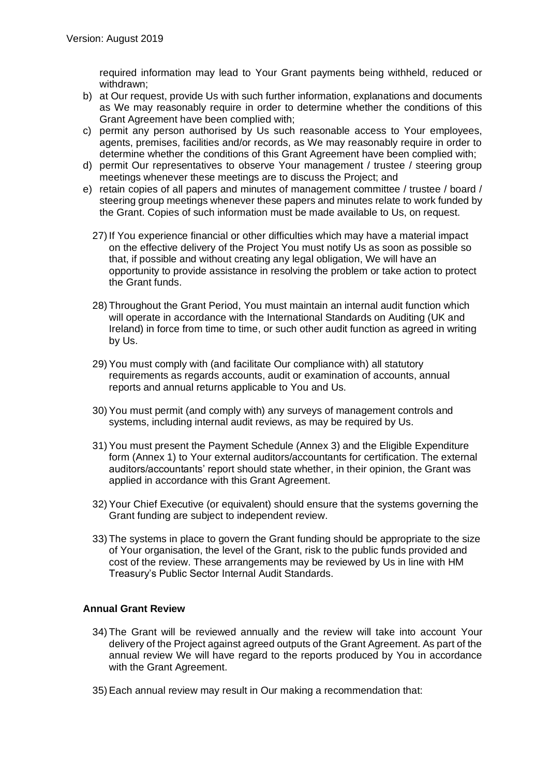required information may lead to Your Grant payments being withheld, reduced or withdrawn;

- b) at Our request, provide Us with such further information, explanations and documents as We may reasonably require in order to determine whether the conditions of this Grant Agreement have been complied with;
- c) permit any person authorised by Us such reasonable access to Your employees, agents, premises, facilities and/or records, as We may reasonably require in order to determine whether the conditions of this Grant Agreement have been complied with;
- d) permit Our representatives to observe Your management / trustee / steering group meetings whenever these meetings are to discuss the Project; and
- e) retain copies of all papers and minutes of management committee / trustee / board / steering group meetings whenever these papers and minutes relate to work funded by the Grant. Copies of such information must be made available to Us, on request.
	- 27) If You experience financial or other difficulties which may have a material impact on the effective delivery of the Project You must notify Us as soon as possible so that, if possible and without creating any legal obligation, We will have an opportunity to provide assistance in resolving the problem or take action to protect the Grant funds.
	- 28) Throughout the Grant Period, You must maintain an internal audit function which will operate in accordance with the International Standards on Auditing (UK and Ireland) in force from time to time, or such other audit function as agreed in writing by Us.
	- 29) You must comply with (and facilitate Our compliance with) all statutory requirements as regards accounts, audit or examination of accounts, annual reports and annual returns applicable to You and Us.
	- 30) You must permit (and comply with) any surveys of management controls and systems, including internal audit reviews, as may be required by Us.
	- 31) You must present the Payment Schedule (Annex 3) and the Eligible Expenditure form (Annex 1) to Your external auditors/accountants for certification. The external auditors/accountants' report should state whether, in their opinion, the Grant was applied in accordance with this Grant Agreement.
	- 32) Your Chief Executive (or equivalent) should ensure that the systems governing the Grant funding are subject to independent review.
	- 33) The systems in place to govern the Grant funding should be appropriate to the size of Your organisation, the level of the Grant, risk to the public funds provided and cost of the review. These arrangements may be reviewed by Us in line with HM Treasury's Public Sector Internal Audit Standards.

# **Annual Grant Review**

- 34) The Grant will be reviewed annually and the review will take into account Your delivery of the Project against agreed outputs of the Grant Agreement. As part of the annual review We will have regard to the reports produced by You in accordance with the Grant Agreement.
- 35) Each annual review may result in Our making a recommendation that: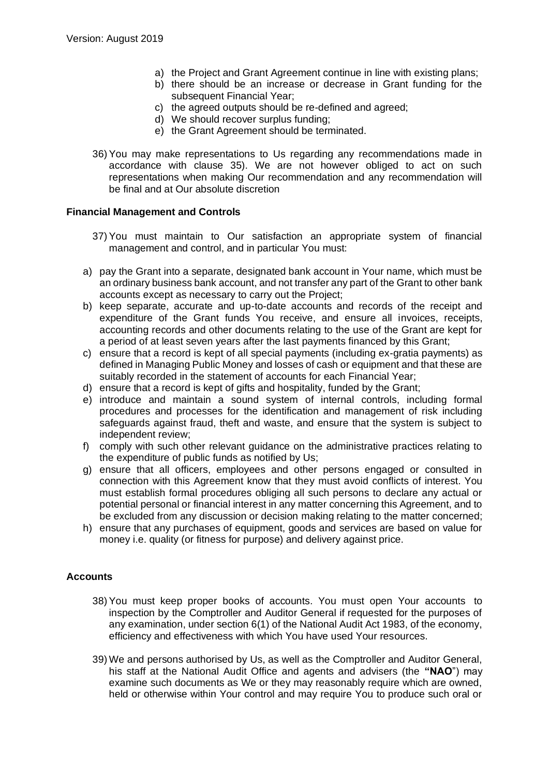- a) the Project and Grant Agreement continue in line with existing plans;
- b) there should be an increase or decrease in Grant funding for the subsequent Financial Year;
- c) the agreed outputs should be re-defined and agreed;
- d) We should recover surplus funding;
- e) the Grant Agreement should be terminated.
- 36) You may make representations to Us regarding any recommendations made in accordance with clause 35). We are not however obliged to act on such representations when making Our recommendation and any recommendation will be final and at Our absolute discretion

### **Financial Management and Controls**

- 37) You must maintain to Our satisfaction an appropriate system of financial management and control, and in particular You must:
- a) pay the Grant into a separate, designated bank account in Your name, which must be an ordinary business bank account, and not transfer any part of the Grant to other bank accounts except as necessary to carry out the Project;
- b) keep separate, accurate and up-to-date accounts and records of the receipt and expenditure of the Grant funds You receive, and ensure all invoices, receipts, accounting records and other documents relating to the use of the Grant are kept for a period of at least seven years after the last payments financed by this Grant;
- c) ensure that a record is kept of all special payments (including ex-gratia payments) as defined in Managing Public Money and losses of cash or equipment and that these are suitably recorded in the statement of accounts for each Financial Year;
- d) ensure that a record is kept of gifts and hospitality, funded by the Grant;
- e) introduce and maintain a sound system of internal controls, including formal procedures and processes for the identification and management of risk including safeguards against fraud, theft and waste, and ensure that the system is subject to independent review;
- f) comply with such other relevant guidance on the administrative practices relating to the expenditure of public funds as notified by Us;
- g) ensure that all officers, employees and other persons engaged or consulted in connection with this Agreement know that they must avoid conflicts of interest. You must establish formal procedures obliging all such persons to declare any actual or potential personal or financial interest in any matter concerning this Agreement, and to be excluded from any discussion or decision making relating to the matter concerned;
- h) ensure that any purchases of equipment, goods and services are based on value for money i.e. quality (or fitness for purpose) and delivery against price.

# **Accounts**

- 38) You must keep proper books of accounts. You must open Your accounts to inspection by the Comptroller and Auditor General if requested for the purposes of any examination, under section 6(1) of the National Audit Act 1983, of the economy, efficiency and effectiveness with which You have used Your resources.
- 39) We and persons authorised by Us, as well as the Comptroller and Auditor General, his staff at the National Audit Office and agents and advisers (the **"NAO**") may examine such documents as We or they may reasonably require which are owned. held or otherwise within Your control and may require You to produce such oral or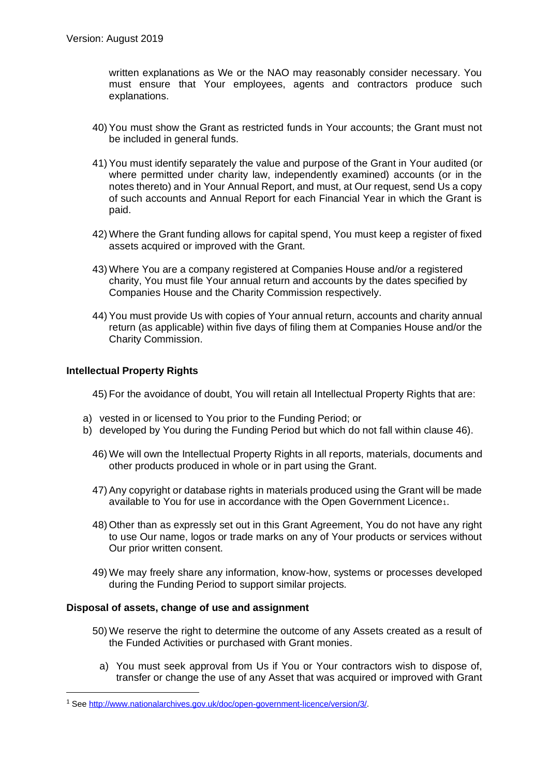written explanations as We or the NAO may reasonably consider necessary. You must ensure that Your employees, agents and contractors produce such explanations.

- 40) You must show the Grant as restricted funds in Your accounts; the Grant must not be included in general funds.
- 41) You must identify separately the value and purpose of the Grant in Your audited (or where permitted under charity law, independently examined) accounts (or in the notes thereto) and in Your Annual Report, and must, at Our request, send Us a copy of such accounts and Annual Report for each Financial Year in which the Grant is paid.
- 42) Where the Grant funding allows for capital spend, You must keep a register of fixed assets acquired or improved with the Grant.
- 43) Where You are a company registered at Companies House and/or a registered charity, You must file Your annual return and accounts by the dates specified by Companies House and the Charity Commission respectively.
- 44) You must provide Us with copies of Your annual return, accounts and charity annual return (as applicable) within five days of filing them at Companies House and/or the Charity Commission.

# **Intellectual Property Rights**

45) For the avoidance of doubt, You will retain all Intellectual Property Rights that are:

- a) vested in or licensed to You prior to the Funding Period; or
- b) developed by You during the Funding Period but which do not fall within clause 46).
	- 46) We will own the Intellectual Property Rights in all reports, materials, documents and other products produced in whole or in part using the Grant.
	- 47) Any copyright or database rights in materials produced using the Grant will be made available to You for use in accordance with the Open Government Licence<sub>1</sub>.
	- 48) Other than as expressly set out in this Grant Agreement, You do not have any right to use Our name, logos or trade marks on any of Your products or services without Our prior written consent.
	- 49) We may freely share any information, know-how, systems or processes developed during the Funding Period to support similar projects.

# **Disposal of assets, change of use and assignment**

- 50) We reserve the right to determine the outcome of any Assets created as a result of the Funded Activities or purchased with Grant monies.
	- a) You must seek approval from Us if You or Your contractors wish to dispose of, transfer or change the use of any Asset that was acquired or improved with Grant

<sup>1</sup> Se[e http://www.nationalarchives.gov.uk/doc/open-government-licence/version/3/.](http://www.nationalarchives.gov.uk/doc/open-government-licence/version/3/)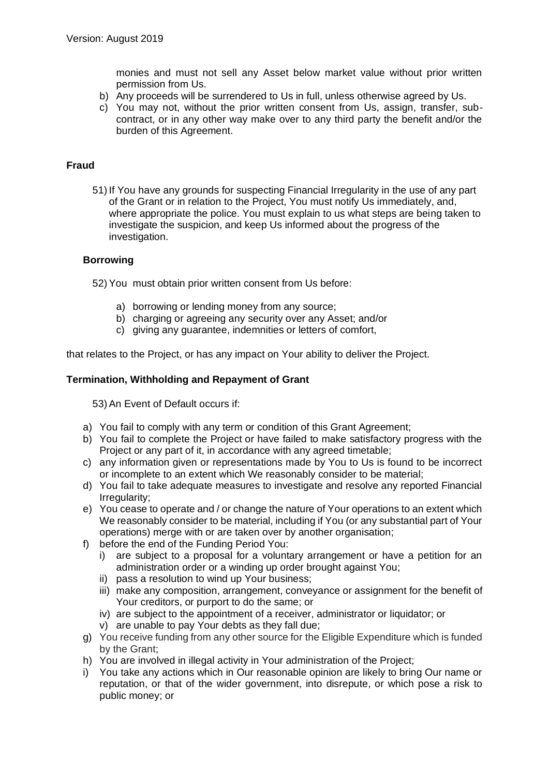monies and must not sell any Asset below market value without prior written permission from Us.

- b) Any proceeds will be surrendered to Us in full, unless otherwise agreed by Us.
- c) You may not, without the prior written consent from Us, assign, transfer, subcontract, or in any other way make over to any third party the benefit and/or the burden of this Agreement.

# **Fraud**

51) If You have any grounds for suspecting Financial Irregularity in the use of any part of the Grant or in relation to the Project, You must notify Us immediately, and, where appropriate the police. You must explain to us what steps are being taken to investigate the suspicion, and keep Us informed about the progress of the investigation.

### **Borrowing**

52) You must obtain prior written consent from Us before:

- a) borrowing or lending money from any source;
- b) charging or agreeing any security over any Asset; and/or
- c) giving any guarantee, indemnities or letters of comfort,

that relates to the Project, or has any impact on Your ability to deliver the Project.

### **Termination, Withholding and Repayment of Grant**

53) An Event of Default occurs if:

- a) You fail to comply with any term or condition of this Grant Agreement;
- b) You fail to complete the Project or have failed to make satisfactory progress with the Project or any part of it, in accordance with any agreed timetable;
- c) any information given or representations made by You to Us is found to be incorrect or incomplete to an extent which We reasonably consider to be material;
- d) You fail to take adequate measures to investigate and resolve any reported Financial Irregularity;
- e) You cease to operate and / or change the nature of Your operations to an extent which We reasonably consider to be material, including if You (or any substantial part of Your operations) merge with or are taken over by another organisation;
- f) before the end of the Funding Period You:
	- i) are subject to a proposal for a voluntary arrangement or have a petition for an administration order or a winding up order brought against You;
	- ii) pass a resolution to wind up Your business;
	- iii) make any composition, arrangement, conveyance or assignment for the benefit of Your creditors, or purport to do the same; or
	- iv) are subject to the appointment of a receiver, administrator or liquidator; or
	- v) are unable to pay Your debts as they fall due;
- g) You receive funding from any other source for the Eligible Expenditure which is funded by the Grant;
- h) You are involved in illegal activity in Your administration of the Project;
- i) You take any actions which in Our reasonable opinion are likely to bring Our name or reputation, or that of the wider government, into disrepute, or which pose a risk to public money; or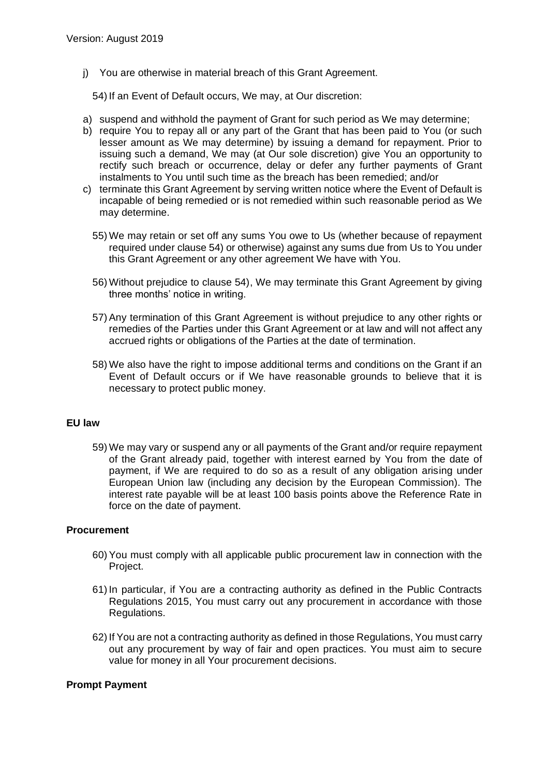j) You are otherwise in material breach of this Grant Agreement.

54) If an Event of Default occurs, We may, at Our discretion:

- a) suspend and withhold the payment of Grant for such period as We may determine;
- b) require You to repay all or any part of the Grant that has been paid to You (or such lesser amount as We may determine) by issuing a demand for repayment. Prior to issuing such a demand, We may (at Our sole discretion) give You an opportunity to rectify such breach or occurrence, delay or defer any further payments of Grant instalments to You until such time as the breach has been remedied; and/or
- c) terminate this Grant Agreement by serving written notice where the Event of Default is incapable of being remedied or is not remedied within such reasonable period as We may determine.
	- 55) We may retain or set off any sums You owe to Us (whether because of repayment required under clause 54) or otherwise) against any sums due from Us to You under this Grant Agreement or any other agreement We have with You.
	- 56) Without prejudice to clause 54), We may terminate this Grant Agreement by giving three months' notice in writing.
	- 57) Any termination of this Grant Agreement is without prejudice to any other rights or remedies of the Parties under this Grant Agreement or at law and will not affect any accrued rights or obligations of the Parties at the date of termination.
	- 58) We also have the right to impose additional terms and conditions on the Grant if an Event of Default occurs or if We have reasonable grounds to believe that it is necessary to protect public money.

# **EU law**

59) We may vary or suspend any or all payments of the Grant and/or require repayment of the Grant already paid, together with interest earned by You from the date of payment, if We are required to do so as a result of any obligation arising under European Union law (including any decision by the European Commission). The interest rate payable will be at least 100 basis points above the Reference Rate in force on the date of payment.

# **Procurement**

- 60) You must comply with all applicable public procurement law in connection with the Project.
- 61) In particular, if You are a contracting authority as defined in the Public Contracts Regulations 2015, You must carry out any procurement in accordance with those Regulations.
- 62) If You are not a contracting authority as defined in those Regulations, You must carry out any procurement by way of fair and open practices. You must aim to secure value for money in all Your procurement decisions.

#### **Prompt Payment**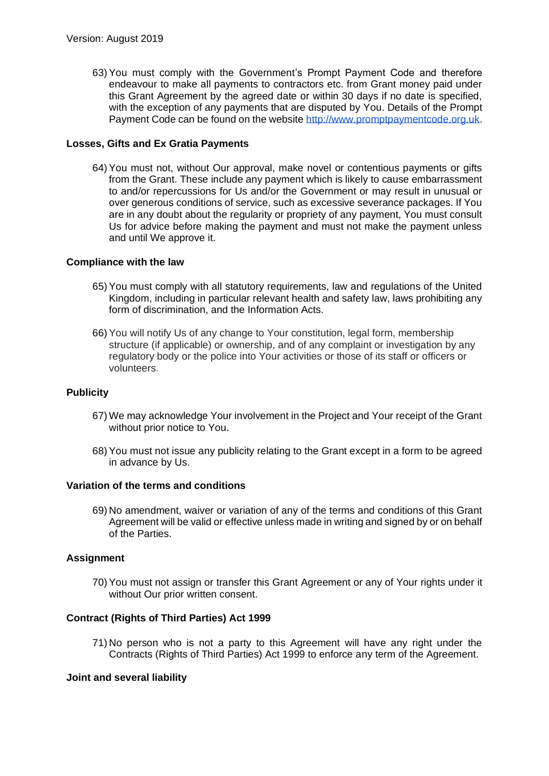63) You must comply with the Government's Prompt Payment Code and therefore endeavour to make all payments to contractors etc. from Grant money paid under this Grant Agreement by the agreed date or within 30 days if no date is specified, with the exception of any payments that are disputed by You. Details of the Prompt Payment Code can be found on the website [http://www.promptpaymentcode.org.uk.](http://www.promptpaymentcode.org.uk/)

# **Losses, Gifts and Ex Gratia Payments**

64) You must not, without Our approval, make novel or contentious payments or gifts from the Grant. These include any payment which is likely to cause embarrassment to and/or repercussions for Us and/or the Government or may result in unusual or over generous conditions of service, such as excessive severance packages. If You are in any doubt about the regularity or propriety of any payment, You must consult Us for advice before making the payment and must not make the payment unless and until We approve it.

# **Compliance with the law**

- 65) You must comply with all statutory requirements, law and regulations of the United Kingdom, including in particular relevant health and safety law, laws prohibiting any form of discrimination, and the Information Acts.
- 66) You will notify Us of any change to Your constitution, legal form, membership structure (if applicable) or ownership, and of any complaint or investigation by any regulatory body or the police into Your activities or those of its staff or officers or volunteers.

# **Publicity**

- 67) We may acknowledge Your involvement in the Project and Your receipt of the Grant without prior notice to You.
- 68) You must not issue any publicity relating to the Grant except in a form to be agreed in advance by Us.

# **Variation of the terms and conditions**

69) No amendment, waiver or variation of any of the terms and conditions of this Grant Agreement will be valid or effective unless made in writing and signed by or on behalf of the Parties.

# **Assignment**

70) You must not assign or transfer this Grant Agreement or any of Your rights under it without Our prior written consent.

# **Contract (Rights of Third Parties) Act 1999**

71) No person who is not a party to this Agreement will have any right under the Contracts (Rights of Third Parties) Act 1999 to enforce any term of the Agreement.

# **Joint and several liability**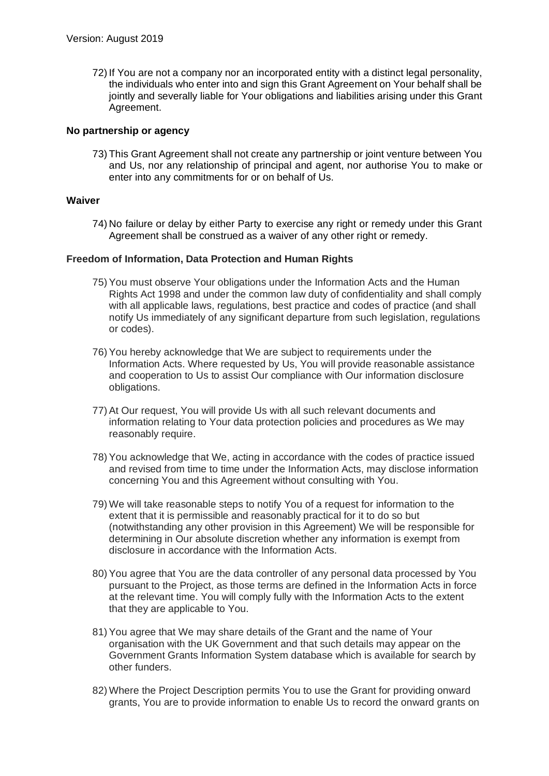72) If You are not a company nor an incorporated entity with a distinct legal personality, the individuals who enter into and sign this Grant Agreement on Your behalf shall be jointly and severally liable for Your obligations and liabilities arising under this Grant Agreement.

# **No partnership or agency**

73) This Grant Agreement shall not create any partnership or joint venture between You and Us, nor any relationship of principal and agent, nor authorise You to make or enter into any commitments for or on behalf of Us.

# **Waiver**

74) No failure or delay by either Party to exercise any right or remedy under this Grant Agreement shall be construed as a waiver of any other right or remedy.

# **Freedom of Information, Data Protection and Human Rights**

- 75) You must observe Your obligations under the Information Acts and the Human Rights Act 1998 and under the common law duty of confidentiality and shall comply with all applicable laws, regulations, best practice and codes of practice (and shall notify Us immediately of any significant departure from such legislation, regulations or codes).
- 76) You hereby acknowledge that We are subject to requirements under the Information Acts. Where requested by Us, You will provide reasonable assistance and cooperation to Us to assist Our compliance with Our information disclosure obligations.
- 77) At Our request, You will provide Us with all such relevant documents and information relating to Your data protection policies and procedures as We may reasonably require.
- 78) You acknowledge that We, acting in accordance with the codes of practice issued and revised from time to time under the Information Acts, may disclose information concerning You and this Agreement without consulting with You.
- 79) We will take reasonable steps to notify You of a request for information to the extent that it is permissible and reasonably practical for it to do so but (notwithstanding any other provision in this Agreement) We will be responsible for determining in Our absolute discretion whether any information is exempt from disclosure in accordance with the Information Acts.
- 80) You agree that You are the data controller of any personal data processed by You pursuant to the Project, as those terms are defined in the Information Acts in force at the relevant time. You will comply fully with the Information Acts to the extent that they are applicable to You.
- 81) You agree that We may share details of the Grant and the name of Your organisation with the UK Government and that such details may appear on the Government Grants Information System database which is available for search by other funders.
- 82) Where the Project Description permits You to use the Grant for providing onward grants, You are to provide information to enable Us to record the onward grants on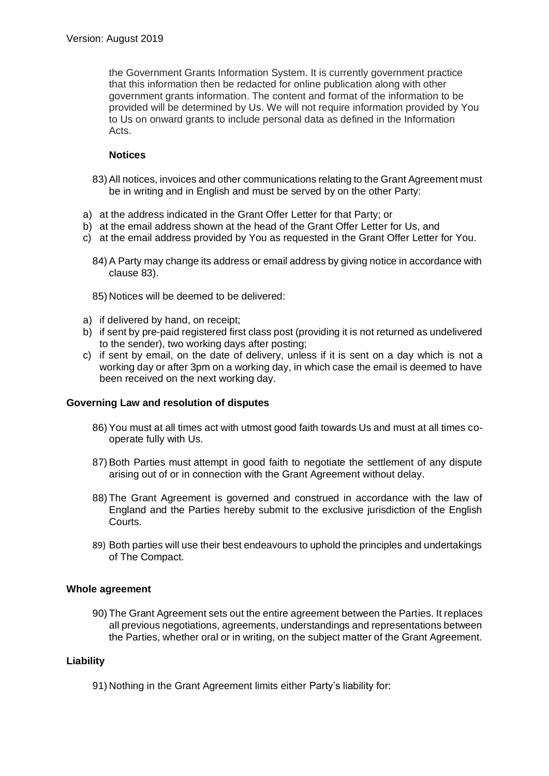the Government Grants Information System. It is currently government practice that this information then be redacted for online publication along with other government grants information. The content and format of the information to be provided will be determined by Us. We will not require information provided by You to Us on onward grants to include personal data as defined in the Information Acts.

# **Notices**

- 83) All notices, invoices and other communications relating to the Grant Agreement must be in writing and in English and must be served by on the other Party:
- a) at the address indicated in the Grant Offer Letter for that Party; or
- b) at the email address shown at the head of the Grant Offer Letter for Us, and
- c) at the email address provided by You as requested in the Grant Offer Letter for You.
	- 84) A Party may change its address or email address by giving notice in accordance with clause 83).
	- 85) Notices will be deemed to be delivered:
- a) if delivered by hand, on receipt;
- b) if sent by pre-paid registered first class post (providing it is not returned as undelivered to the sender), two working days after posting;
- c) if sent by email, on the date of delivery, unless if it is sent on a day which is not a working day or after 3pm on a working day, in which case the email is deemed to have been received on the next working day.

# **Governing Law and resolution of disputes**

- 86) You must at all times act with utmost good faith towards Us and must at all times cooperate fully with Us.
- 87) Both Parties must attempt in good faith to negotiate the settlement of any dispute arising out of or in connection with the Grant Agreement without delay.
- 88) The Grant Agreement is governed and construed in accordance with the law of England and the Parties hereby submit to the exclusive jurisdiction of the English Courts.
- 89) Both parties will use their best endeavours to uphold the principles and undertakings of The Compact.

# **Whole agreement**

90) The Grant Agreement sets out the entire agreement between the Parties. It replaces all previous negotiations, agreements, understandings and representations between the Parties, whether oral or in writing, on the subject matter of the Grant Agreement.

# **Liability**

91) Nothing in the Grant Agreement limits either Party's liability for: